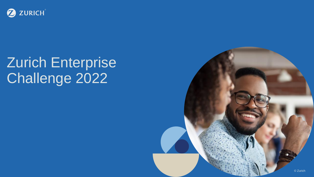

# Zurich Enterprise Challenge 2022

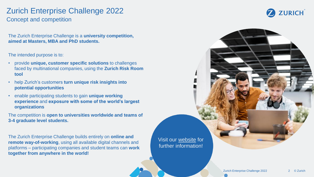#### Zurich Enterprise Challenge 2022 Concept and competition

The Zurich Enterprise Challenge is a **university competition, aimed at Masters, MBA and PhD students.** 

The intended purpose is to:

- provide **unique, customer specific solutions** to challenges faced by multinational companies, using the **Zurich Risk Room tool**
- help Zurich's customers **turn unique risk insights into potential opportunities**
- enable participating students to gain **unique working experience** and **exposure with some of the world's largest organizations**

The competition is **open to universities worldwide and teams of 3-4 graduate level students.**

The Zurich Enterprise Challenge builds entirely on **online and remote way-of-working**, using all available digital channels and platforms – participating companies and student teams can **work together from anywhere in the world!**

Visit our [website](https://www.zurich.com/en/products-and-services/tools-for-business/zurich-risk-room/zurich-enterprise-challenge) for further information!

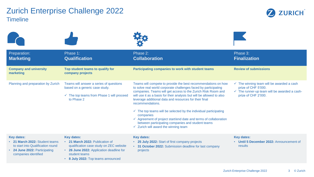### Zurich Enterprise Challenge 2022 **Timeline**



| Preparation:<br><b>Marketing</b>                                                                                                                  | Phase 1:<br><b>Qualification</b>                                                                                                                                                                   | Phase 2:<br><b>Collaboration</b>                                                                                                                                                                                                                                                                                                                                                                                                                                                                                                                                                                                                           | Phase 3:<br><b>Finalization</b>                                                                                                                               |
|---------------------------------------------------------------------------------------------------------------------------------------------------|----------------------------------------------------------------------------------------------------------------------------------------------------------------------------------------------------|--------------------------------------------------------------------------------------------------------------------------------------------------------------------------------------------------------------------------------------------------------------------------------------------------------------------------------------------------------------------------------------------------------------------------------------------------------------------------------------------------------------------------------------------------------------------------------------------------------------------------------------------|---------------------------------------------------------------------------------------------------------------------------------------------------------------|
| <b>Company and university</b><br>marketing                                                                                                        | Top student teams to qualify for<br>company projects                                                                                                                                               | Participating companies to work with student teams                                                                                                                                                                                                                                                                                                                                                                                                                                                                                                                                                                                         | <b>Review of submissions</b>                                                                                                                                  |
| Planning and preparation by Zurich                                                                                                                | Teams will answer a series of questions<br>based on a generic case study.<br>$\checkmark$ The top teams from Phase 1 will proceed<br>to Phase 2                                                    | Teams will compete to provide the best recommendations on how<br>to solve real world corporate challenges faced by participating<br>companies. Teams will get access to the Zurich Risk Room and<br>will use it as a basis for their analysis but will be allowed to also<br>leverage additional data and resources for their final<br>recommendations.<br>$\checkmark$ The top teams will be selected by the individual participating<br>companies<br>$\checkmark$ Agreement of project start/end date and terms of collaboration<br>between participating companies and student teams<br>$\checkmark$ Zurich will award the winning team | $\checkmark$ The winning team will be awarded a cash<br>prize of CHF 5'000.<br>$\checkmark$ The runner-up team will be awarded a cash-<br>prize of CHF 2'000. |
| <b>Key dates:</b><br>• 21 March 2022: Student teams<br>to start into Qualification round<br>• 24 June 2022: Participating<br>companies identified | <b>Key dates:</b><br>• 21 March 2022: Publication of<br>qualification case study on ZEC website<br>• 26 June 2022: Application deadline for<br>student teams<br>• 8 July 2022: Top teams announced | <b>Key dates:</b><br>• 25 July 2022: Start of first company projects<br>• 31 October 2022: Submission deadline for last company<br>projects                                                                                                                                                                                                                                                                                                                                                                                                                                                                                                | <b>Key dates:</b><br>• Until 5 December 2022: Announcement of<br>results                                                                                      |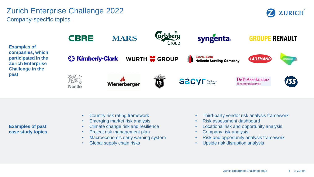### Zurich Enterprise Challenge 2022 Company-specific topics





**Examples of past case study topics**

- Country risk rating framework
- Emerging market risk analysis
- Climate change risk and resilience
- Project risk management plan
- Macroeconomic early warning system
- Global supply chain risks
- Third-party vendor risk analysis framework
- Risk assessment dashboard
- Locational risk and opportunity analysis
- Company risk analysis
- Risk and opportunity analysis framework
- Upside risk disruption analysis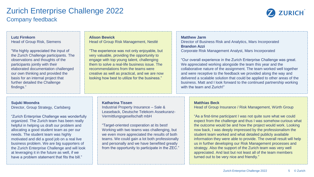#### Zurich Enterprise Challenge 2022 Company feedback

have a problem statement that fits the bill."



| <b>Lutz Firnkorn</b><br><b>Head of Group Risk, Siemens</b><br>"We highly appreciated the input of<br>the Zurich Challenge participants. The<br>observations and thoughts of the<br>participants jointly with their<br>elaborated documentation challenged<br>our own thinking and provided the<br>basis for an internal project that<br>further detailed the Challenge<br>findings."                                                                                                 |  | <b>Alison Bewick</b><br>Head of Group Risk Management, Nestlé<br>"The experience was not only enjoyable, but<br>very valuable, providing the opportunity to<br>engage with top young talent, challenging<br>them to solve a real-life business issue. The<br>recommendations from the teams were<br>creative as well as practical, and we are now<br>looking how best to utilize for the business."                                                       | <b>Matthew Jarm</b><br>Director of Business Risk and Analytics, Mars Incorporated<br><b>Brandon Azzi</b><br>Corporate Risk Management Analyst, Mars Incorporated<br>"Our overall experience in the Zurich Enterprise Challenge was great.<br>We appreciated working alongside the team this year and the<br>collaborative nature of the assignment. The team worked well together<br>and were receptive to the feedback we provided along the way and<br>delivered a scalable solution that could be applied to other areas of the<br>business. Matt and I look forward to the continued partnership working<br>with the team and Zurich!"                                       |
|--------------------------------------------------------------------------------------------------------------------------------------------------------------------------------------------------------------------------------------------------------------------------------------------------------------------------------------------------------------------------------------------------------------------------------------------------------------------------------------|--|-----------------------------------------------------------------------------------------------------------------------------------------------------------------------------------------------------------------------------------------------------------------------------------------------------------------------------------------------------------------------------------------------------------------------------------------------------------|----------------------------------------------------------------------------------------------------------------------------------------------------------------------------------------------------------------------------------------------------------------------------------------------------------------------------------------------------------------------------------------------------------------------------------------------------------------------------------------------------------------------------------------------------------------------------------------------------------------------------------------------------------------------------------|
| Sujuki Moondra<br>Director, Group Strategy, Carlsberg<br>"Zurich Enterprise Challenge was wonderfully<br>organized. The Zurich team has been really<br>helpful in helping us draft our problem and<br>allocating a good student team as per our<br>needs. The student team was highly<br>motivated and did a good job on a real live<br>business problem. We are big supporters of<br>the Zurich Enterprise Challenge and will look<br>at leveraging it in the future as well, if we |  | <b>Katharina Tissen</b><br><b>Industrial Property Insurance - Sale &amp;</b><br>Leaseback, Deutsche Telekom Assekuranz-<br>Vermittlungsgesellschaft mbH<br>"Target-oriented cooperation at its best!<br>Working with two teams was challenging, but<br>we even more appreciated the results of both<br>teams. We could gain a lot both professionally<br>and personally and we have benefited greatly<br>from the opportunity to participate in the ZEC." | <b>Matthias Beck</b><br>Head of Group Insurance / Risk Management, Würth Group<br>"As a first-time participant I was not quite sure what we could<br>expect from the challenge and thus I was somehow curious what<br>the outcome would be and how the project would work. Looking<br>now back, I was deeply impressed by the professionalism the<br>student team worked and what detailed publicly available<br>information they were able to provide. The overall result will help<br>us in further developing our Risk Management processes and<br>strategy. Also the support of the Zurich team was very well<br>appreciated. And last but not least all of the team members |

turned out to be very nice and friendly."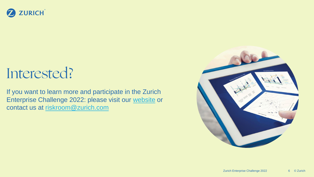#### ZURICH  $\mathbf Z$

## Interested?

If you want to learn more and participate in the Zurich Enterprise Challenge 2022: please visit our [website](https://www.zurich.com/en/products-and-services/tools-for-business/zurich-risk-room/zurich-enterprise-challenge) or contact us at [riskroom@zurich.com](mailto:riskroom@zurich.com)